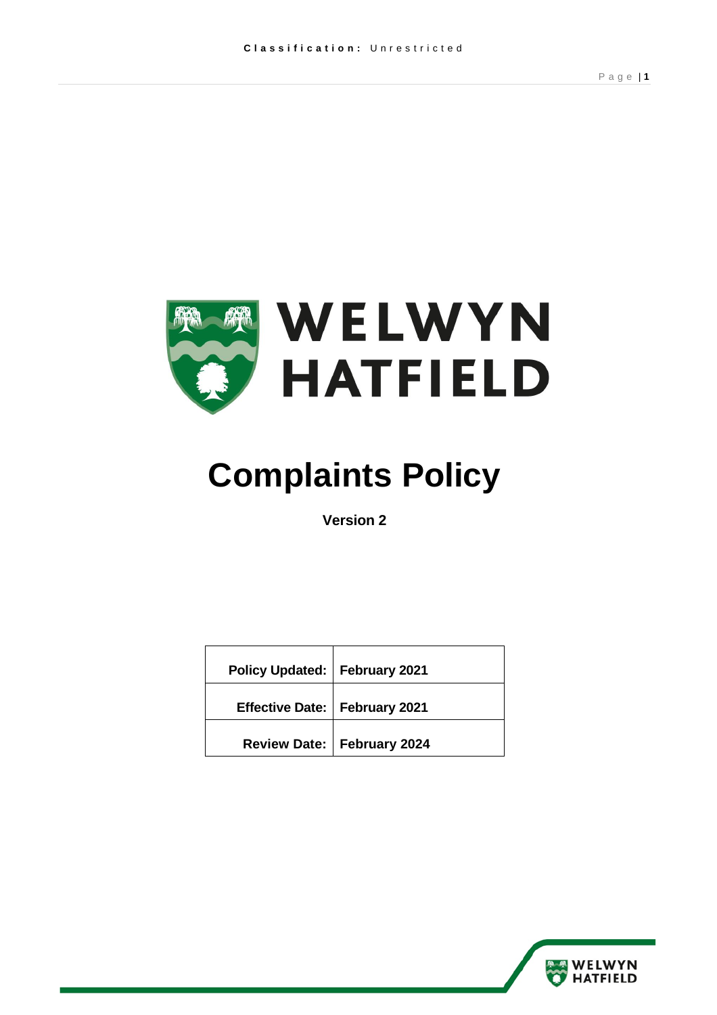

# **Complaints Policy**

**Version 2** 

| Policy Updated:   February 2021 |                              |
|---------------------------------|------------------------------|
| Effective Date:   February 2021 |                              |
|                                 | Review Date:   February 2024 |

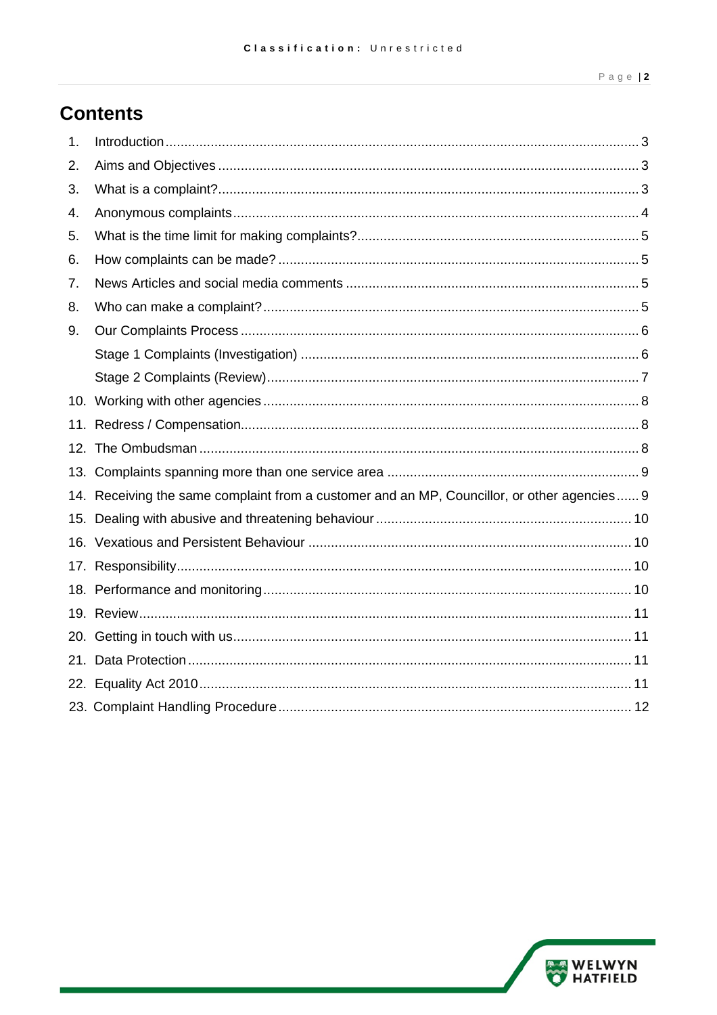### **Contents**

| 1.  |                                                                                             |  |  |
|-----|---------------------------------------------------------------------------------------------|--|--|
| 2.  |                                                                                             |  |  |
| 3.  |                                                                                             |  |  |
| 4.  |                                                                                             |  |  |
| 5.  |                                                                                             |  |  |
| 6.  |                                                                                             |  |  |
| 7.  |                                                                                             |  |  |
| 8.  |                                                                                             |  |  |
| 9.  |                                                                                             |  |  |
|     |                                                                                             |  |  |
|     |                                                                                             |  |  |
|     |                                                                                             |  |  |
|     |                                                                                             |  |  |
|     |                                                                                             |  |  |
|     |                                                                                             |  |  |
|     | 14. Receiving the same complaint from a customer and an MP, Councillor, or other agencies 9 |  |  |
|     |                                                                                             |  |  |
|     |                                                                                             |  |  |
|     |                                                                                             |  |  |
|     |                                                                                             |  |  |
|     |                                                                                             |  |  |
|     |                                                                                             |  |  |
| 21. |                                                                                             |  |  |
|     |                                                                                             |  |  |
|     |                                                                                             |  |  |

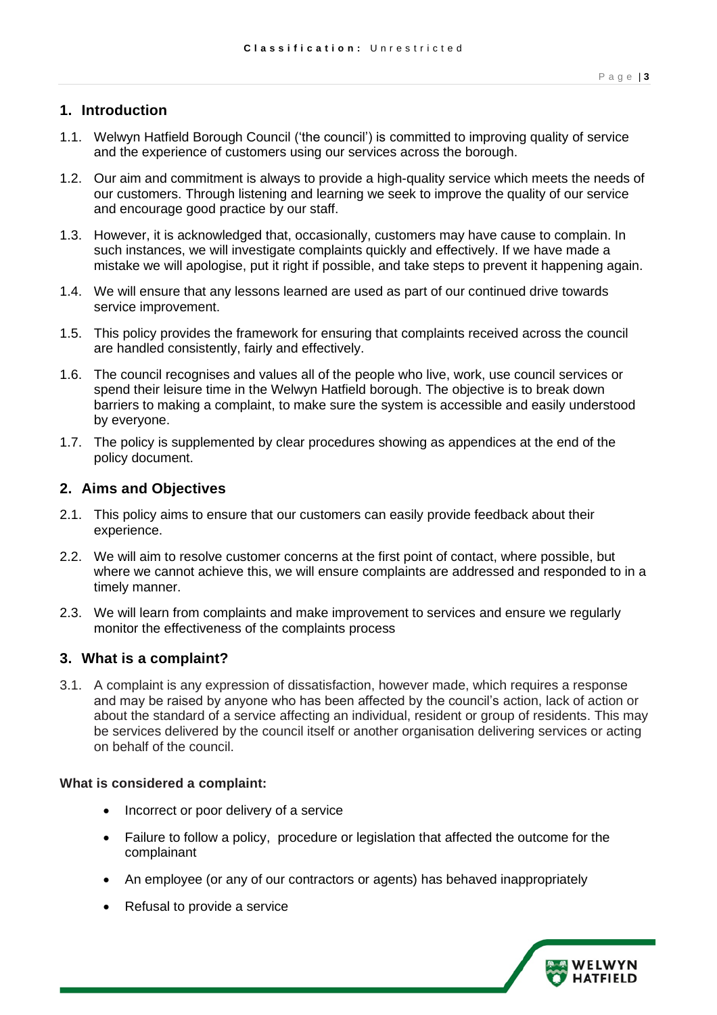#### <span id="page-2-0"></span>**1. Introduction**

- 1.1. Welwyn Hatfield Borough Council ('the council') is committed to improving quality of service and the experience of customers using our services across the borough.
- 1.2. Our aim and commitment is always to provide a high-quality service which meets the needs of our customers. Through listening and learning we seek to improve the quality of our service and encourage good practice by our staff.
- 1.3. However, it is acknowledged that, occasionally, customers may have cause to complain. In such instances, we will investigate complaints quickly and effectively. If we have made a mistake we will apologise, put it right if possible, and take steps to prevent it happening again.
- 1.4. We will ensure that any lessons learned are used as part of our continued drive towards service improvement.
- service improvement.<br>1.5. This policy provides the framework for ensuring that complaints received across the council are handled consistently, fairly and effectively.
- 1.6. The council recognises and values all of the people who live, work, use council services or spend their leisure time in the Welwyn Hatfield borough. The objective is to break down barriers to making a complaint, to make sure the system is accessible and easily understood by everyone.
- 1.7. The policy is supplemented by clear procedures showing as appendices at the end of the policy document.

#### <span id="page-2-1"></span>**2. Aims and Objectives**

- 2.1. This policy aims to ensure that our customers can easily provide feedback about their experience.
- 2.2. We will aim to resolve customer concerns at the first point of contact, where possible, but where we cannot achieve this, we will ensure complaints are addressed and responded to in a timely manner.
- 2.3. We will learn from complaints and make improvement to services and ensure we regularly monitor the effectiveness of the complaints process

#### <span id="page-2-2"></span>**3. What is a complaint?**

 3.1. A complaint is any expression of dissatisfaction, however made, which requires a response and may be raised by anyone who has been affected by the council's action, lack of action or about the standard of a service affecting an individual, resident or group of residents. This may be services delivered by the council itself or another organisation delivering services or acting on behalf of the council.

#### **What is considered a complaint:**

- Incorrect or poor delivery of a service
- • Failure to follow a policy, procedure or legislation that affected the outcome for the complainant
- An employee (or any of our contractors or agents) has behaved inappropriately
- Refusal to provide a service

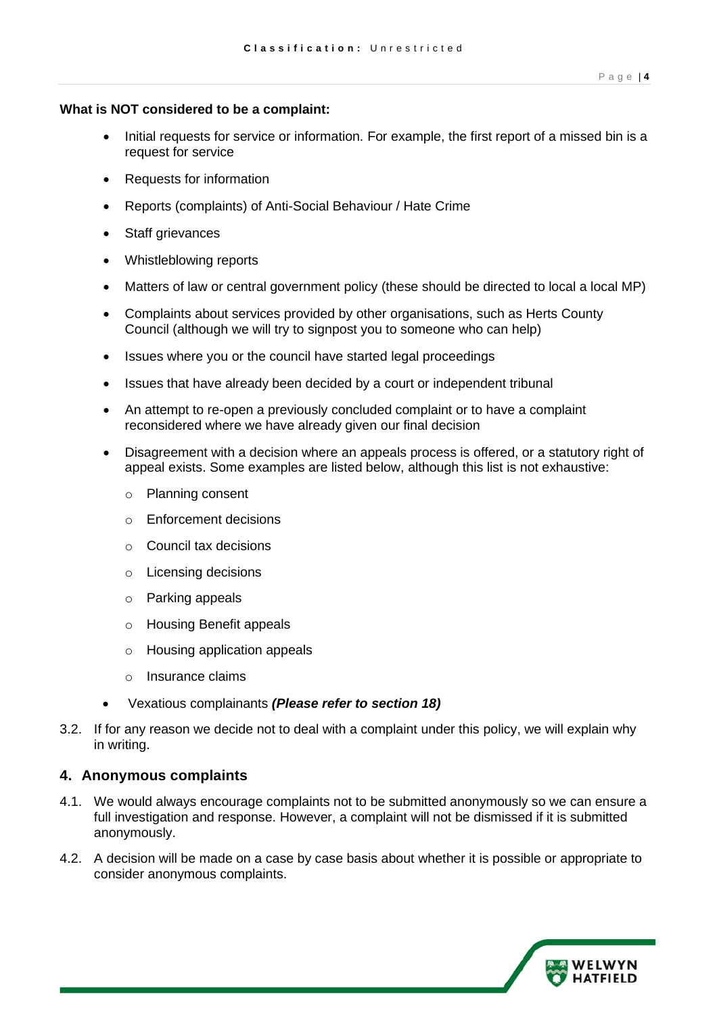#### **What is NOT considered to be a complaint:**

- • Initial requests for service or information. For example, the first report of a missed bin is a request for service
- Requests for information
- Reports (complaints) of Anti-Social Behaviour / Hate Crime
- Staff grievances
- Whistleblowing reports
- Matters of law or central government policy (these should be directed to local a local MP)
- • Complaints about services provided by other organisations, such as Herts County Council (although we will try to signpost you to someone who can help)
- Issues where you or the council have started legal proceedings
- Issues that have already been decided by a court or independent tribunal
- • An attempt to re-open a previously concluded complaint or to have a complaint reconsidered where we have already given our final decision
- • Disagreement with a decision where an appeals process is offered, or a statutory right of appeal exists. Some examples are listed below, although this list is not exhaustive:
	- o Planning consent
	- o Enforcement decisions
	- o Council tax decisions
	- o Licensing decisions
	- o Parking appeals
	- o Housing Benefit appeals
	- o Housing application appeals
	- o Insurance claims
- Vexatious complainants *(Please refer to section 18)*
- 3.2. If for any reason we decide not to deal with a complaint under this policy, we will explain why in writing.

#### <span id="page-3-0"></span>**4. Anonymous complaints**

- 4.1. We would always encourage complaints not to be submitted anonymously so we can ensure a full investigation and response. However, a complaint will not be dismissed if it is submitted anonymously.
- 4.2. A decision will be made on a case by case basis about whether it is possible or appropriate to consider anonymous complaints.

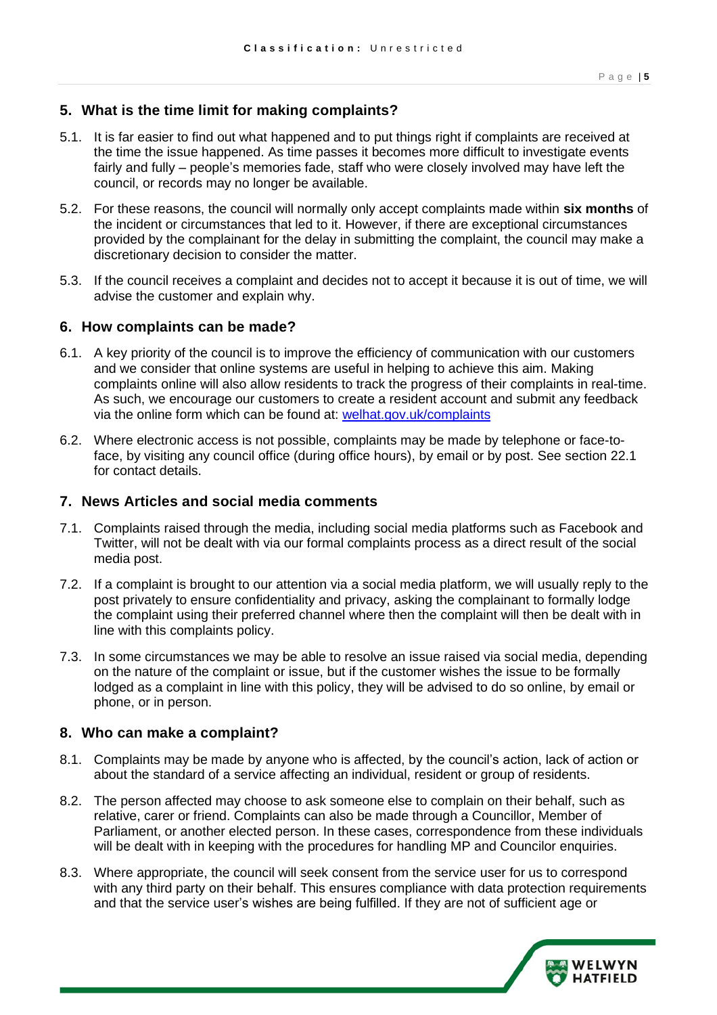#### <span id="page-4-0"></span>**5. What is the time limit for making complaints?**

- 5.1. It is far easier to find out what happened and to put things right if complaints are received at the time the issue happened. As time passes it becomes more difficult to investigate events fairly and fully – people's memories fade, staff who were closely involved may have left the council, or records may no longer be available.
- 5.2. For these reasons, the council will normally only accept complaints made within **six months** of the incident or circumstances that led to it. However, if there are exceptional circumstances provided by the complainant for the delay in submitting the complaint, the council may make a discretionary decision to consider the matter.
- 5.3. If the council receives a complaint and decides not to accept it because it is out of time, we will advise the customer and explain why.

#### <span id="page-4-1"></span>**6. How complaints can be made?**

- 6.1. A key priority of the council is to improve the efficiency of communication with our customers and we consider that online systems are useful in helping to achieve this aim. Making complaints online will also allow residents to track the progress of their complaints in real-time. As such, we encourage our customers to create a resident account and submit any feedback via the online form which can be found at: welhat.gov.uk/complaints
- 6.2. Where electronic access is not possible, complaints may be made by telephone or face-to- face, by visiting any council office (during office hours), by email or by post. See section 22.1 for contact details.

#### <span id="page-4-2"></span>**7. News Articles and social media comments**

- 7.1. Complaints raised through the media, including social media platforms such as Facebook and Twitter, will not be dealt with via our formal complaints process as a direct result of the social media post.
- 7.2. If a complaint is brought to our attention via a social media platform, we will usually reply to the the complaint using their preferred channel where then the complaint will then be dealt with in line with this complaints policy. post privately to ensure confidentiality and privacy, asking the complainant to formally lodge
- 7.3. In some circumstances we may be able to resolve an issue raised via social media, depending on the nature of the complaint or issue, but if the customer wishes the issue to be formally lodged as a complaint in line with this policy, they will be advised to do so online, by email or phone, or in person.

#### <span id="page-4-3"></span>**8. Who can make a complaint?**

- 8.1. Complaints may be made by anyone who is affected, by the council's action, lack of action or about the standard of a service affecting an individual, resident or group of residents.
- 8.2. The person affected may choose to ask someone else to complain on their behalf, such as relative, carer or friend. Complaints can also be made through a Councillor, Member of Parliament, or another elected person. In these cases, correspondence from these individuals will be dealt with in keeping with the procedures for handling MP and Councilor enquiries.
- 8.3. Where appropriate, the council will seek consent from the service user for us to correspond with any third party on their behalf. This ensures compliance with data protection requirements and that the service user's wishes are being fulfilled. If they are not of sufficient age or

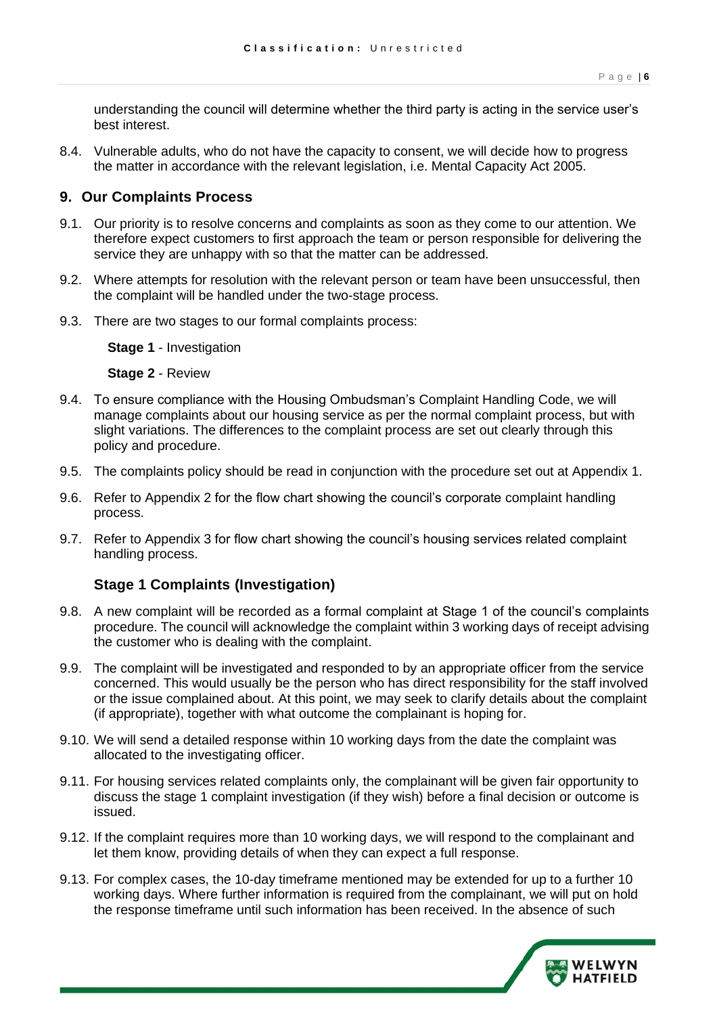understanding the council will determine whether the third party is acting in the service user's best interest.

 8.4. Vulnerable adults, who do not have the capacity to consent, we will decide how to progress the matter in accordance with the relevant legislation, i.e. Mental Capacity Act 2005.

#### <span id="page-5-0"></span>**9. Our Complaints Process**

- 9.1. Our priority is to resolve concerns and complaints as soon as they come to our attention. We therefore expect customers to first approach the team or person responsible for delivering the service they are unhappy with so that the matter can be addressed.
- 9.2. Where attempts for resolution with the relevant person or team have been unsuccessful, then the complaint will be handled under the two-stage process.
- 9.3. There are two stages to our formal complaints process:

**Stage 1** - Investigation

**Stage 2** - Review

- 9.4. To ensure compliance with the Housing Ombudsman's Complaint Handling Code, we will manage complaints about our housing service as per the normal complaint process, but with slight variations. The differences to the complaint process are set out clearly through this policy and procedure.
- 9.5. The complaints policy should be read in conjunction with the procedure set out at Appendix 1.
- 9.6. Refer to Appendix 2 for the flow chart showing the council's corporate complaint handling process.
- 9.7. Refer to Appendix 3 for flow chart showing the council's housing services related complaint handling process.

#### **Stage 1 Complaints (Investigation)**

- <span id="page-5-1"></span> 9.8. A new complaint will be recorded as a formal complaint at Stage 1 of the council's complaints procedure. The council will acknowledge the complaint within 3 working days of receipt advising the customer who is dealing with the complaint.
- 9.9. The complaint will be investigated and responded to by an appropriate officer from the service concerned. This would usually be the person who has direct responsibility for the staff involved or the issue complained about. At this point, we may seek to clarify details about the complaint (if appropriate), together with what outcome the complainant is hoping for.
- 9.10. We will send a detailed response within 10 working days from the date the complaint was allocated to the investigating officer.
- 9.11. For housing services related complaints only, the complainant will be given fair opportunity to discuss the stage 1 complaint investigation (if they wish) before a final decision or outcome is issued.
- 9.12. If the complaint requires more than 10 working days, we will respond to the complainant and let them know, providing details of when they can expect a full response.
- 9.13. For complex cases, the 10-day timeframe mentioned may be extended for up to a further 10 working days. Where further information is required from the complainant, we will put on hold the response timeframe until such information has been received. In the absence of such

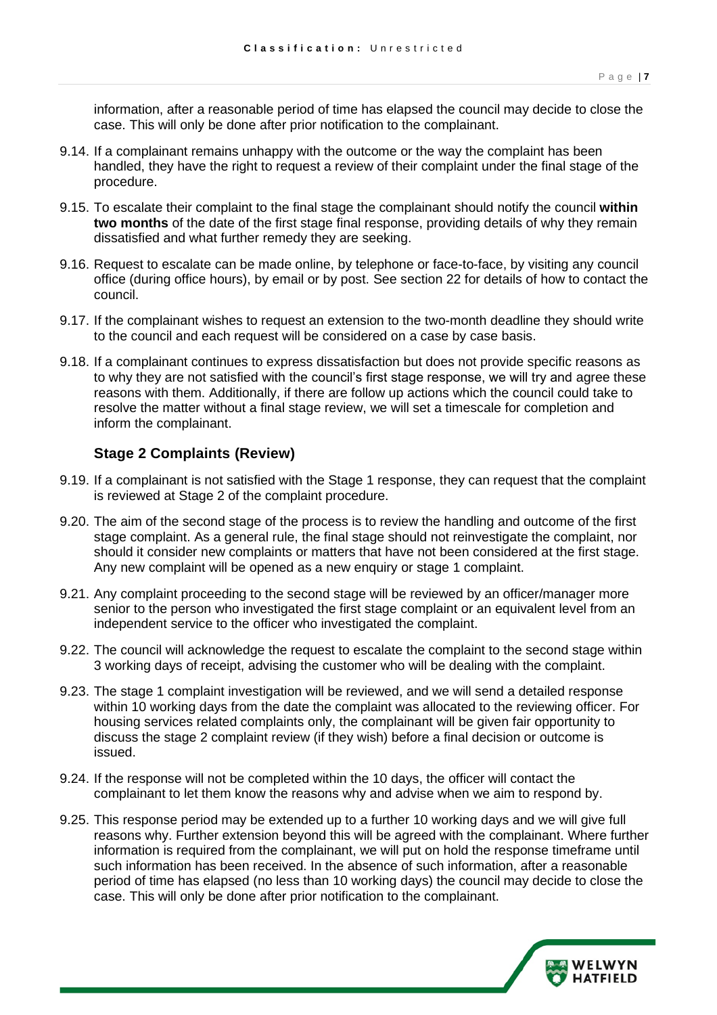information, after a reasonable period of time has elapsed the council may decide to close the case. This will only be done after prior notification to the complainant.

- 9.14. If a complainant remains unhappy with the outcome or the way the complaint has been handled, they have the right to request a review of their complaint under the final stage of the procedure.
- procedure. 9.15. To escalate their complaint to the final stage the complainant should notify the council **within two months** of the date of the first stage final response, providing details of why they remain dissatisfied and what further remedy they are seeking.
- 9.16. Request to escalate can be made online, by telephone or face-to-face, by visiting any council office (during office hours), by email or by post. See section 22 for details of how to contact the council.
- 9.17. If the complainant wishes to request an extension to the two-month deadline they should write to the council and each request will be considered on a case by case basis.
- 9.18. If a complainant continues to express dissatisfaction but does not provide specific reasons as to why they are not satisfied with the council's first stage response, we will try and agree these reasons with them. Additionally, if there are follow up actions which the council could take to resolve the matter without a final stage review, we will set a timescale for completion and inform the complainant.

#### **Stage 2 Complaints (Review)**

- <span id="page-6-0"></span> 9.19. If a complainant is not satisfied with the Stage 1 response, they can request that the complaint is reviewed at Stage 2 of the complaint procedure.
- 9.20. The aim of the second stage of the process is to review the handling and outcome of the first stage complaint. As a general rule, the final stage should not reinvestigate the complaint, nor should it consider new complaints or matters that have not been considered at the first stage. Any new complaint will be opened as a new enquiry or stage 1 complaint.
- 9.21. Any complaint proceeding to the second stage will be reviewed by an officer/manager more senior to the person who investigated the first stage complaint or an equivalent level from an independent service to the officer who investigated the complaint.
- 9.22. The council will acknowledge the request to escalate the complaint to the second stage within 3 working days of receipt, advising the customer who will be dealing with the complaint.
- 9.23. The stage 1 complaint investigation will be reviewed, and we will send a detailed response within 10 working days from the date the complaint was allocated to the reviewing officer. For housing services related complaints only, the complainant will be given fair opportunity to discuss the stage 2 complaint review (if they wish) before a final decision or outcome is issued.
- 9.24. If the response will not be completed within the 10 days, the officer will contact the complainant to let them know the reasons why and advise when we aim to respond by.
- 9.25. This response period may be extended up to a further 10 working days and we will give full reasons why. Further extension beyond this will be agreed with the complainant. Where further information is required from the complainant, we will put on hold the response timeframe until such information has been received. In the absence of such information, after a reasonable period of time has elapsed (no less than 10 working days) the council may decide to close the case. This will only be done after prior notification to the complainant.

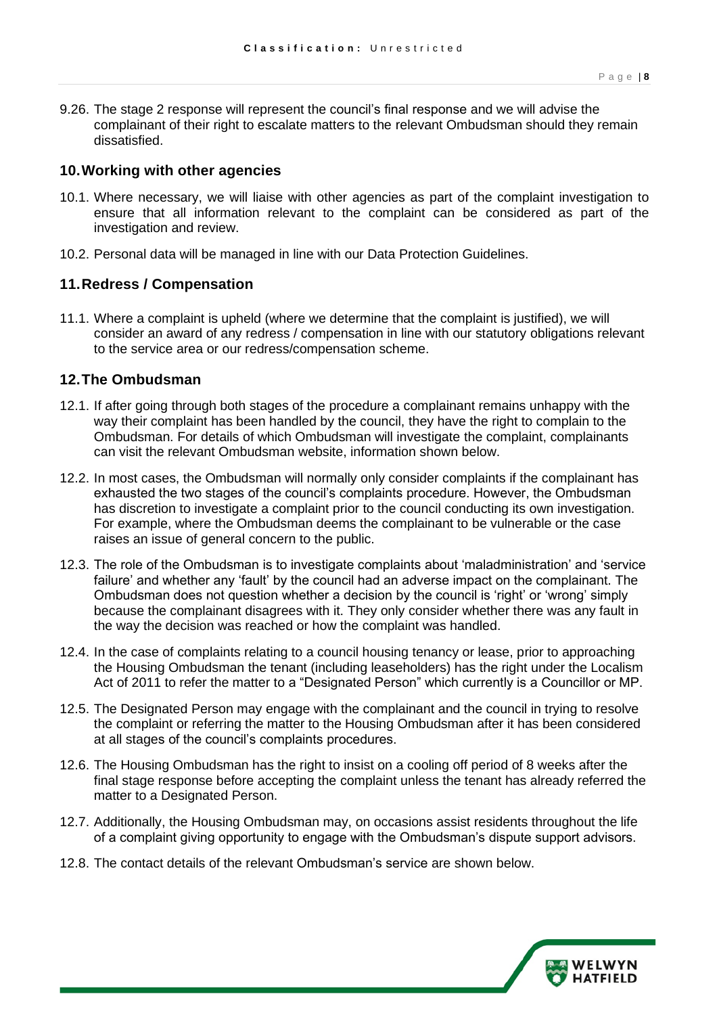9.26. The stage 2 response will represent the council's final response and we will advise the complainant of their right to escalate matters to the relevant Ombudsman should they remain dissatisfied.

#### <span id="page-7-0"></span>**10.Working with other agencies**

- 10.1. Where necessary, we will liaise with other agencies as part of the complaint investigation to ensure that all information relevant to the complaint can be considered as part of the investigation and review.
- 10.2. Personal data will be managed in line with our Data Protection Guidelines.

#### <span id="page-7-1"></span>**11.Redress / Compensation**

 11.1. Where a complaint is upheld (where we determine that the complaint is justified), we will consider an award of any redress / compensation in line with our statutory obligations relevant to the service area or our redress/compensation scheme.

#### <span id="page-7-2"></span>**12.The Ombudsman**

- 12.1. If after going through both stages of the procedure a complainant remains unhappy with the way their complaint has been handled by the council, they have the right to complain to the Ombudsman. For details of which Ombudsman will investigate the complaint, complainants can visit the relevant Ombudsman website, information shown below.
- 12.2. In most cases, the Ombudsman will normally only consider complaints if the complainant has exhausted the two stages of the council's complaints procedure. However, the Ombudsman has discretion to investigate a complaint prior to the council conducting its own investigation. For example, where the Ombudsman deems the complainant to be vulnerable or the case raises an issue of general concern to the public.
- 12.3. The role of the Ombudsman is to investigate complaints about 'maladministration' and 'service failure' and whether any 'fault' by the council had an adverse impact on the complainant. The Ombudsman does not question whether a decision by the council is 'right' or 'wrong' simply because the complainant disagrees with it. They only consider whether there was any fault in the way the decision was reached or how the complaint was handled.
- 12.4. In the case of complaints relating to a council housing tenancy or lease, prior to approaching the Housing Ombudsman the tenant (including leaseholders) has the right under the Localism Act of 2011 to refer the matter to a "Designated Person" which currently is a Councillor or MP.
- 12.5. The Designated Person may engage with the complainant and the council in trying to resolve the complaint or referring the matter to the Housing Ombudsman after it has been considered at all stages of the council's complaints procedures.
- 12.6. The Housing Ombudsman has the right to insist on a cooling off period of 8 weeks after the final stage response before accepting the complaint unless the tenant has already referred the matter to a Designated Person.
- 12.7. Additionally, the Housing Ombudsman may, on occasions assist residents throughout the life of a complaint giving opportunity to engage with the Ombudsman's dispute support advisors.
- 12.8. The contact details of the relevant Ombudsman's service are shown below.

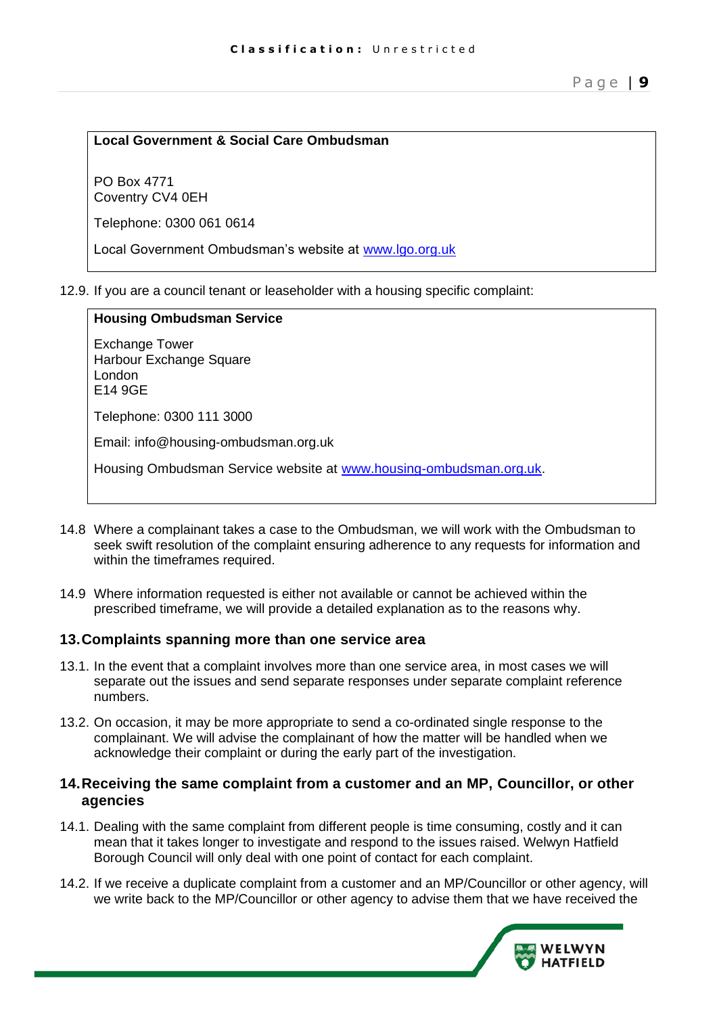#### **Local Government & Social Care Ombudsman**

PO Box 4771 Coventry CV4 0EH

Telephone: 0300 061 0614

Local Government Ombudsman's website at [www.lgo.org.uk](http://www.lgo.org.uk/) 

12.9. If you are a council tenant or leaseholder with a housing specific complaint:

| <b>Housing Ombudsman Service</b>                                      |
|-----------------------------------------------------------------------|
| <b>Exchange Tower</b><br>Harbour Exchange Square<br>London<br>E14 9GE |
| Telephone: 0300 111 3000                                              |
| Email: info@housing-ombudsman.org.uk                                  |
| Housing Ombudsman Service website at www.housing-ombudsman.org.uk.    |
|                                                                       |

- 14.8 Where a complainant takes a case to the Ombudsman, we will work with the Ombudsman to seek swift resolution of the complaint ensuring adherence to any requests for information and within the timeframes required.
- 14.9 Where information requested is either not available or cannot be achieved within the prescribed timeframe, we will provide a detailed explanation as to the reasons why.

#### <span id="page-8-0"></span>**13.Complaints spanning more than one service area**

- 13.1. In the event that a complaint involves more than one service area, in most cases we will separate out the issues and send separate responses under separate complaint reference numbers.
- 13.2. On occasion, it may be more appropriate to send a co-ordinated single response to the complainant. We will advise the complainant of how the matter will be handled when we acknowledge their complaint or during the early part of the investigation.

#### <span id="page-8-1"></span>**14.Receiving the same complaint from a customer and an MP, Councillor, or other agencies**

- 14.1. Dealing with the same complaint from different people is time consuming, costly and it can mean that it takes longer to investigate and respond to the issues raised. Welwyn Hatfield Borough Council will only deal with one point of contact for each complaint.
- 14.2. If we receive a duplicate complaint from a customer and an MP/Councillor or other agency, will we write back to the MP/Councillor or other agency to advise them that we have received the

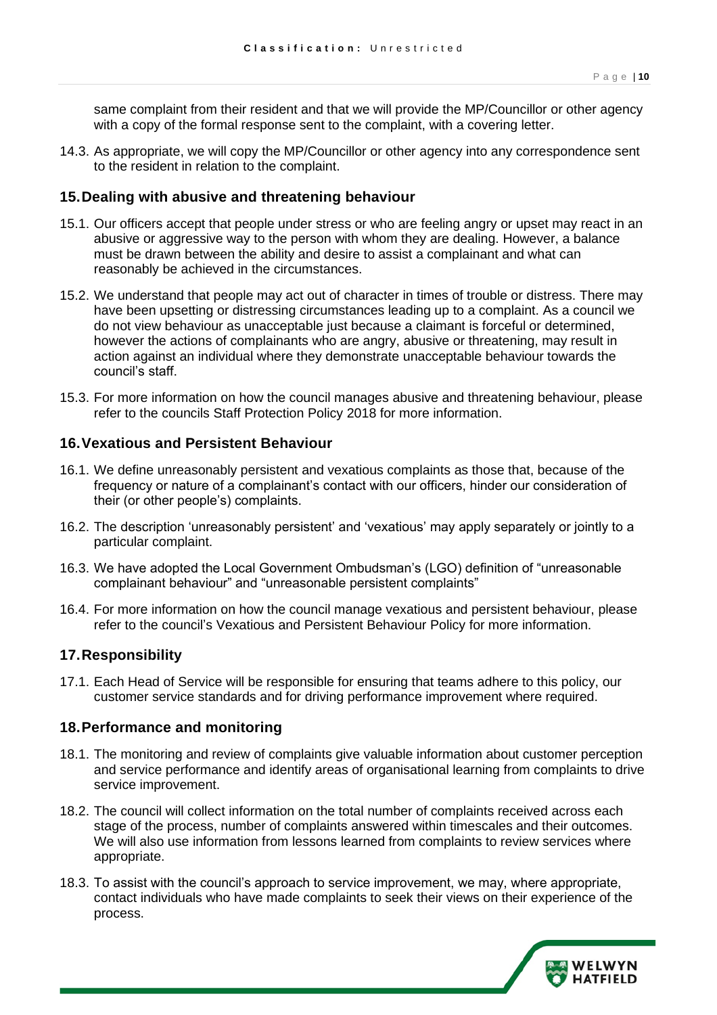same complaint from their resident and that we will provide the MP/Councillor or other agency with a copy of the formal response sent to the complaint, with a covering letter.

 14.3. As appropriate, we will copy the MP/Councillor or other agency into any correspondence sent to the resident in relation to the complaint.

#### <span id="page-9-0"></span>**15.Dealing with abusive and threatening behaviour**

- 15.1. Our officers accept that people under stress or who are feeling angry or upset may react in an abusive or aggressive way to the person with whom they are dealing. However, a balance must be drawn between the ability and desire to assist a complainant and what can reasonably be achieved in the circumstances.
- 15.2. We understand that people may act out of character in times of trouble or distress. There may have been upsetting or distressing circumstances leading up to a complaint. As a council we do not view behaviour as unacceptable just because a claimant is forceful or determined, however the actions of complainants who are angry, abusive or threatening, may result in action against an individual where they demonstrate unacceptable behaviour towards the council's staff.
- 15.3. For more information on how the council manages abusive and threatening behaviour, please refer to the councils Staff Protection Policy 2018 for more information.

#### <span id="page-9-1"></span>**16.Vexatious and Persistent Behaviour**

- 16.1. We define unreasonably persistent and vexatious complaints as those that, because of the frequency or nature of a complainant's contact with our officers, hinder our consideration of their (or other people's) complaints.
- 16.2. The description 'unreasonably persistent' and 'vexatious' may apply separately or jointly to a particular complaint.
- 16.3. We have adopted the Local Government Ombudsman's (LGO) definition of "unreasonable complainant behaviour" and "unreasonable persistent complaints"
- 16.4. For more information on how the council manage vexatious and persistent behaviour, please refer to the council's Vexatious and Persistent Behaviour Policy for more information.

#### <span id="page-9-2"></span>**17.Responsibility**

 17.1. Each Head of Service will be responsible for ensuring that teams adhere to this policy, our customer service standards and for driving performance improvement where required.

#### <span id="page-9-3"></span>**18.Performance and monitoring**

- 18.1. The monitoring and review of complaints give valuable information about customer perception and service performance and identify areas of organisational learning from complaints to drive service improvement.
- 18.2. The council will collect information on the total number of complaints received across each stage of the process, number of complaints answered within timescales and their outcomes. We will also use information from lessons learned from complaints to review services where appropriate.
- 18.3. To assist with the council's approach to service improvement, we may, where appropriate, contact individuals who have made complaints to seek their views on their experience of the process.

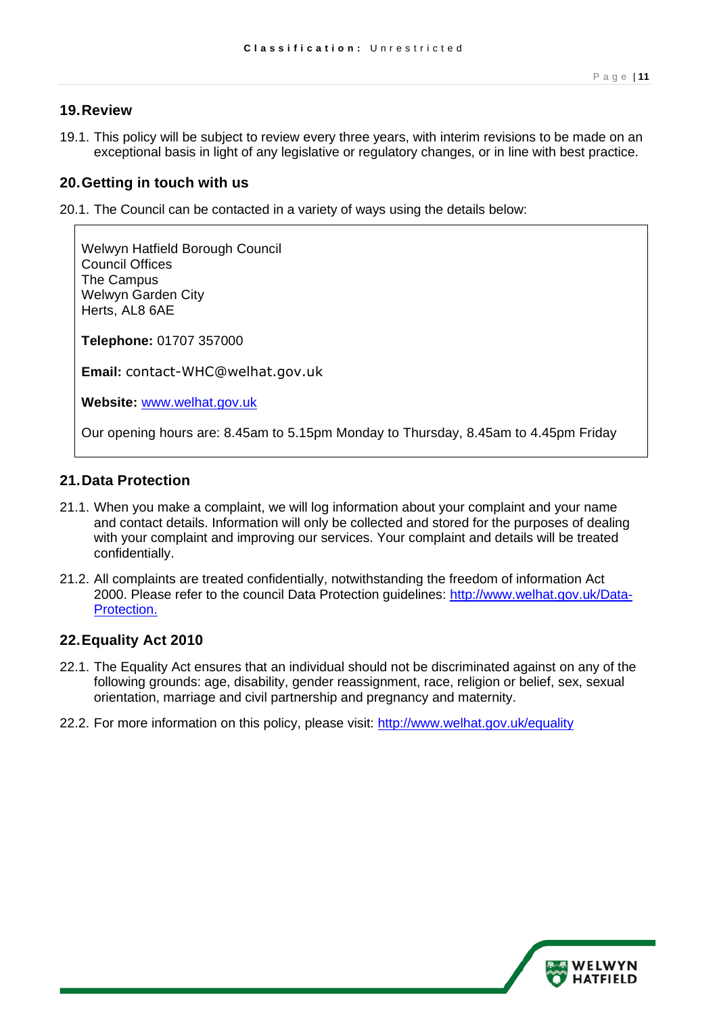#### <span id="page-10-0"></span>**19.Review**

 19.1. This policy will be subject to review every three years, with interim revisions to be made on an exceptional basis in light of any legislative or regulatory changes, or in line with best practice.

#### <span id="page-10-1"></span>**20.Getting in touch with us**

20.1. The Council can be contacted in a variety of ways using the details below:

```
 
Welwyn Hatfield Borough Council 

Our opening hours are: 8.45am to 5.15pm Monday to Thursday, 8.45am to 4.45pm Friday 
Council Offices 
The Campus 
Welwyn Garden City 
Herts, AL8 6AE 
Telephone: 01707 357000 
Email: contact-WHC@welhat.gov.uk 
Website: www.welhat.gov.uk
```
#### <span id="page-10-2"></span>**21.Data Protection**

- 21.1. When you make a complaint, we will log information about your complaint and your name and contact details. Information will only be collected and stored for the purposes of dealing with your complaint and improving our services. Your complaint and details will be treated confidentially.
- 21.2. All complaints are treated confidentially, notwithstanding the freedom of information Act 2000. Please refer to the council Data Protection guidelines: [http://www.welhat.gov.uk/Data-](http://www.welhat.gov.uk/article/884/Data-Protection)[Protection.](http://www.welhat.gov.uk/article/884/Data-Protection)

#### <span id="page-10-3"></span>**22.Equality Act 2010**

- 22.1. The Equality Act ensures that an individual should not be discriminated against on any of the following grounds: age, disability, gender reassignment, race, religion or belief, sex, sexual orientation, marriage and civil partnership and pregnancy and maternity.
- 22.2. For more information on this policy, please visit: http://www.welhat.gov.uk/equality

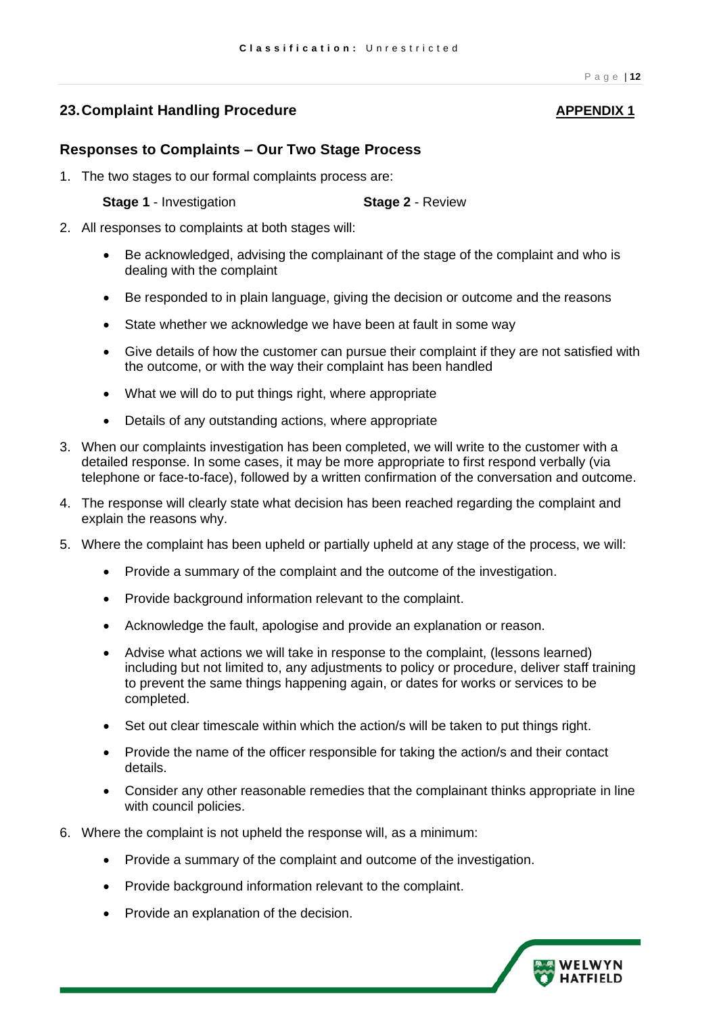#### <span id="page-11-0"></span>**23. Complaint Handling Procedure APPENDIX 1**

#### **Responses to Complaints – Our Two Stage Process**

1. The two stages to our formal complaints process are:

**Stage 1 - Investigation <b>Stage 2 - Review** 

- 2. All responses to complaints at both stages will:
	- • Be acknowledged, advising the complainant of the stage of the complaint and who is dealing with the complaint
	- Be responded to in plain language, giving the decision or outcome and the reasons
	- State whether we acknowledge we have been at fault in some way
	- • Give details of how the customer can pursue their complaint if they are not satisfied with the outcome, or with the way their complaint has been handled
	- What we will do to put things right, where appropriate
	- Details of any outstanding actions, where appropriate
- 3. When our complaints investigation has been completed, we will write to the customer with a detailed response. In some cases, it may be more appropriate to first respond verbally (via telephone or face-to-face), followed by a written confirmation of the conversation and outcome.
- 4. The response will clearly state what decision has been reached regarding the complaint and explain the reasons why.
- 5. Where the complaint has been upheld or partially upheld at any stage of the process, we will:
	- Provide a summary of the complaint and the outcome of the investigation.
	- Provide background information relevant to the complaint.
	- Acknowledge the fault, apologise and provide an explanation or reason.
	- • Advise what actions we will take in response to the complaint, (lessons learned) including but not limited to, any adjustments to policy or procedure, deliver staff training to prevent the same things happening again, or dates for works or services to be completed.
	- Set out clear timescale within which the action/s will be taken to put things right.
	- • Provide the name of the officer responsible for taking the action/s and their contact details.
	- • Consider any other reasonable remedies that the complainant thinks appropriate in line with council policies.
- 6. Where the complaint is not upheld the response will, as a minimum:
	- Provide a summary of the complaint and outcome of the investigation.
	- Provide background information relevant to the complaint.
	- Provide an explanation of the decision.

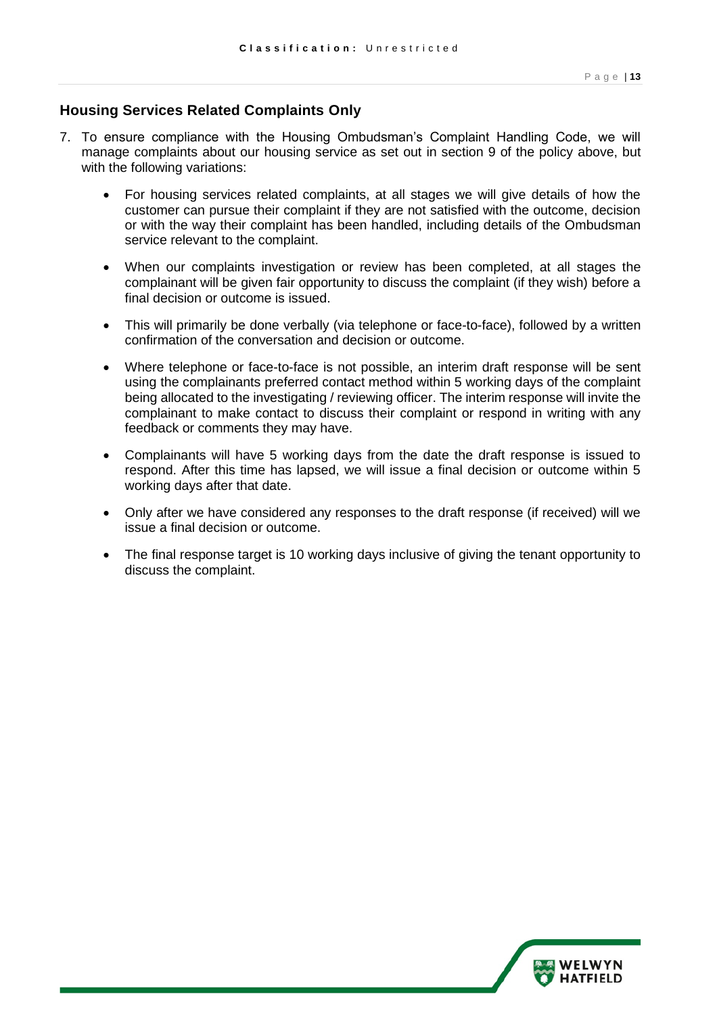#### **Housing Services Related Complaints Only**

- 7. To ensure compliance with the Housing Ombudsman's Complaint Handling Code, we will manage complaints about our housing service as set out in section 9 of the policy above, but with the following variations:
	- • For housing services related complaints, at all stages we will give details of how the customer can pursue their complaint if they are not satisfied with the outcome, decision or with the way their complaint has been handled, including details of the Ombudsman service relevant to the complaint.
	- • When our complaints investigation or review has been completed, at all stages the complainant will be given fair opportunity to discuss the complaint (if they wish) before a final decision or outcome is issued.
	- • This will primarily be done verbally (via telephone or face-to-face), followed by a written confirmation of the conversation and decision or outcome.
	- • Where telephone or face-to-face is not possible, an interim draft response will be sent using the complainants preferred contact method within 5 working days of the complaint being allocated to the investigating / reviewing officer. The interim response will invite the complainant to make contact to discuss their complaint or respond in writing with any feedback or comments they may have.
	- • Complainants will have 5 working days from the date the draft response is issued to respond. After this time has lapsed, we will issue a final decision or outcome within 5 working days after that date.
	- • Only after we have considered any responses to the draft response (if received) will we issue a final decision or outcome.
	- • The final response target is 10 working days inclusive of giving the tenant opportunity to discuss the complaint.

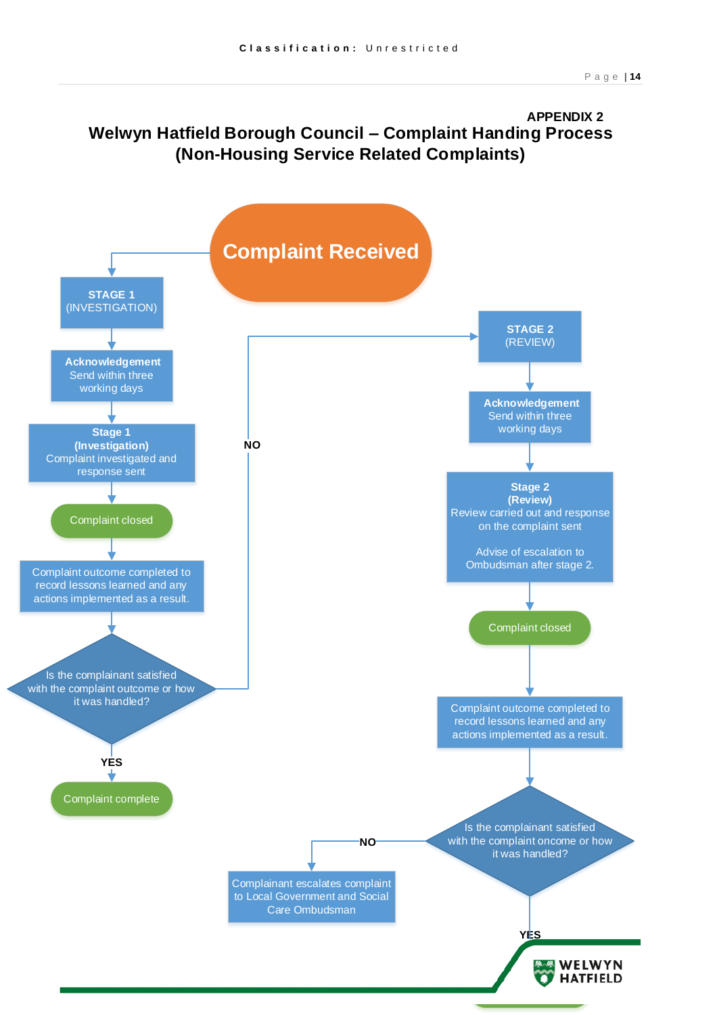### **Welwyn Hatfield Borough Council – Complaint Handing Process (Non-Housing Service Related Complaints) APPENDIX 2**

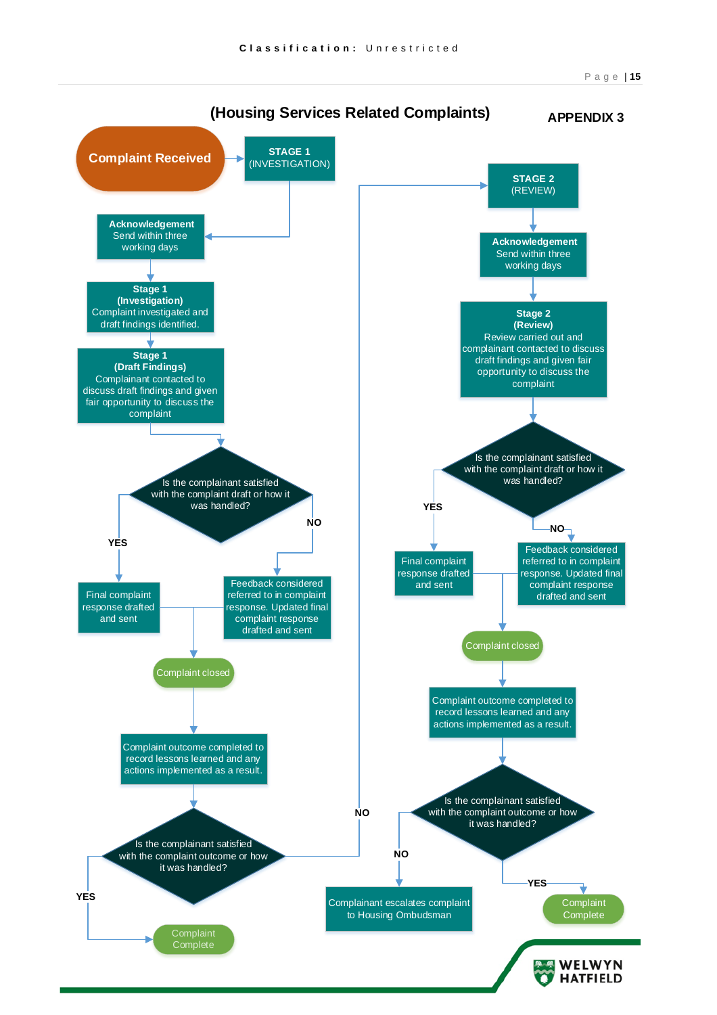